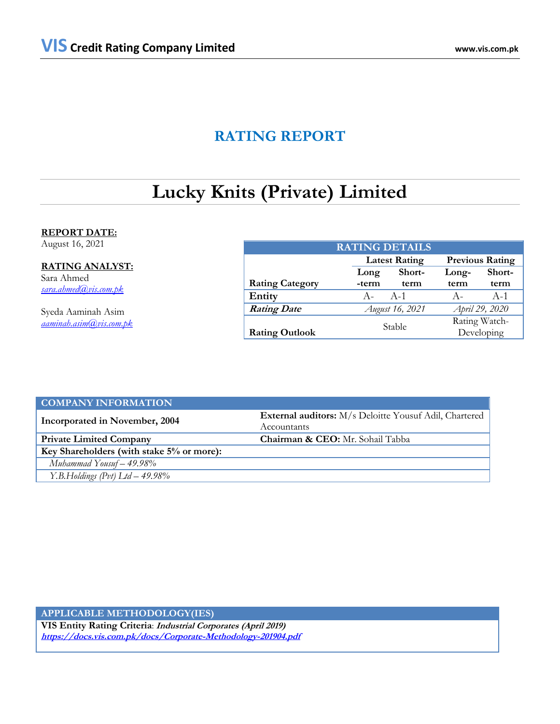# **RATING REPORT**

# **Lucky Knits (Private) Limited**

# **REPORT DATE:**

August 16, 2021

# **RATING ANALYST:**

Sara Ahmed *[sara.ahmed@vis.com.pk](mailto:sara.ahmed@vis.com.pk)*

Syeda Aaminah Asim *[aaminah.asim@vis.com.pk](mailto:aaminah.asim@vis.com.pk)*

| <b>RATING DETAILS</b>  |       |                      |                             |        |  |  |  |
|------------------------|-------|----------------------|-----------------------------|--------|--|--|--|
|                        |       | <b>Latest Rating</b> | <b>Previous Rating</b>      |        |  |  |  |
|                        | Long  | Short-               | Long-                       | Short- |  |  |  |
| <b>Rating Category</b> | -term | term                 | term                        | term   |  |  |  |
| Entity                 | $A -$ | - A-1                | $A -$                       | $A-1$  |  |  |  |
| <b>Rating Date</b>     |       | August 16, 2021      | April 29, 2020              |        |  |  |  |
| <b>Rating Outlook</b>  |       | Stable               | Rating Watch-<br>Developing |        |  |  |  |

| <b>COMPANY INFORMATION</b>                |                                                        |  |  |  |  |
|-------------------------------------------|--------------------------------------------------------|--|--|--|--|
| Incorporated in November, 2004            | External auditors: M/s Deloitte Yousuf Adil, Chartered |  |  |  |  |
|                                           | Accountants                                            |  |  |  |  |
| <b>Private Limited Company</b>            | <b>Chairman &amp; CEO:</b> Mr. Sohail Tabba            |  |  |  |  |
| Key Shareholders (with stake 5% or more): |                                                        |  |  |  |  |
| Muhammad Yousuf $-49.98\%$                |                                                        |  |  |  |  |
| Y.B.Holdings (Pvt) $Ltd - 49.98\%$        |                                                        |  |  |  |  |

# **APPLICABLE METHODOLOGY(IES)**

**VIS Entity Rating Criteria**: **Industrial Corporates (April 2019) <https://docs.vis.com.pk/docs/Corporate-Methodology-201904.pdf>**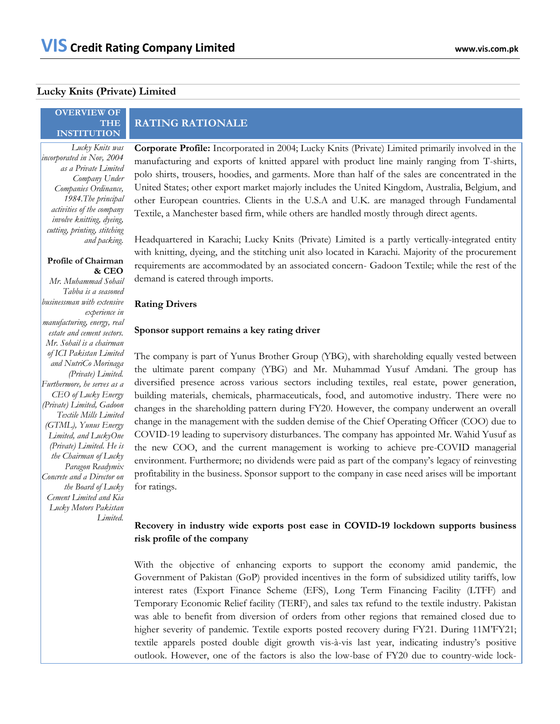# **Lucky Knits (Private) Limited**

## **OVERVIEW OF THE INSTITUTION**

*Lucky Knits was incorporated in Nov, 2004 as a Private Limited Company Under Companies Ordinance, 1984.The principal activities of the company involve knitting, dyeing, cutting, printing, stitching and packing.* 

# **Profile of Chairman & CEO**

*Mr. Muhammad Sohail Tabba is a seasoned businessman with extensive experience in manufacturing, energy, real estate and cement sectors. Mr. Sohail is a chairman of ICI Pakistan Limited and NutriCo Morinaga (Private) Limited. Furthermore, he serves as a CEO of Lucky Energy (Private) Limited, Gadoon Textile Mills Limited (GTML), Yunus Energy Limited, and LuckyOne (Private) Limited. He is the Chairman of Lucky Paragon Readymix Concrete and a Director on the Board of Lucky Cement Limited and Kia Lucky Motors Pakistan Limited.*

# **RATING RATIONALE**

**Corporate Profile:** Incorporated in 2004; Lucky Knits (Private) Limited primarily involved in the manufacturing and exports of knitted apparel with product line mainly ranging from T-shirts, polo shirts, trousers, hoodies, and garments. More than half of the sales are concentrated in the United States; other export market majorly includes the United Kingdom, Australia, Belgium, and other European countries. Clients in the U.S.A and U.K. are managed through Fundamental Textile, a Manchester based firm, while others are handled mostly through direct agents.

Headquartered in Karachi; Lucky Knits (Private) Limited is a partly vertically-integrated entity with knitting, dyeing, and the stitching unit also located in Karachi. Majority of the procurement requirements are accommodated by an associated concern- Gadoon Textile; while the rest of the demand is catered through imports.

# **Rating Drivers**

# **Sponsor support remains a key rating driver**

The company is part of Yunus Brother Group (YBG), with shareholding equally vested between the ultimate parent company (YBG) and Mr. Muhammad Yusuf Amdani. The group has diversified presence across various sectors including textiles, real estate, power generation, building materials, chemicals, pharmaceuticals, food, and automotive industry. There were no changes in the shareholding pattern during FY20. However, the company underwent an overall change in the management with the sudden demise of the Chief Operating Officer (COO) due to COVID-19 leading to supervisory disturbances. The company has appointed Mr. Wahid Yusuf as the new COO, and the current management is working to achieve pre-COVID managerial environment. Furthermore; no dividends were paid as part of the company's legacy of reinvesting profitability in the business. Sponsor support to the company in case need arises will be important for ratings.

# **Recovery in industry wide exports post ease in COVID-19 lockdown supports business risk profile of the company**

With the objective of enhancing exports to support the economy amid pandemic, the Government of Pakistan (GoP) provided incentives in the form of subsidized utility tariffs, low interest rates (Export Finance Scheme (EFS), Long Term Financing Facility (LTFF) and Temporary Economic Relief facility (TERF), and sales tax refund to the textile industry. Pakistan was able to benefit from diversion of orders from other regions that remained closed due to higher severity of pandemic. Textile exports posted recovery during FY21. During 11M'FY21; textile apparels posted double digit growth vis-à-vis last year, indicating industry's positive outlook. However, one of the factors is also the low-base of FY20 due to country-wide lock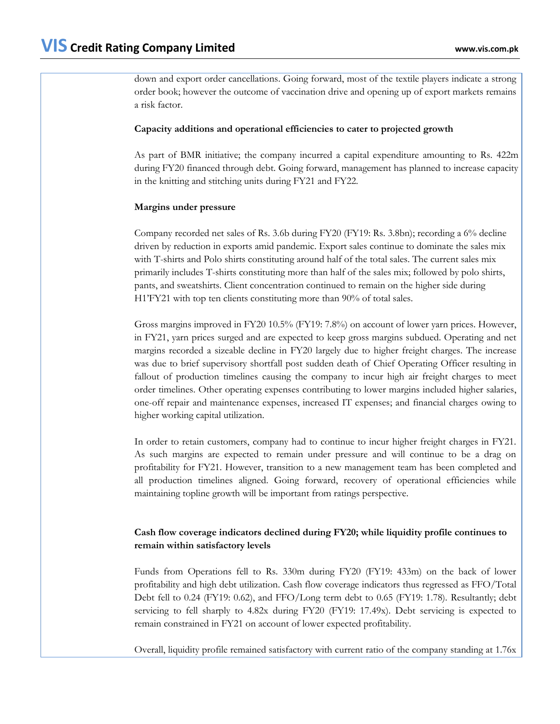down and export order cancellations. Going forward, most of the textile players indicate a strong order book; however the outcome of vaccination drive and opening up of export markets remains a risk factor.

# **Capacity additions and operational efficiencies to cater to projected growth**

As part of BMR initiative; the company incurred a capital expenditure amounting to Rs. 422m during FY20 financed through debt. Going forward, management has planned to increase capacity in the knitting and stitching units during FY21 and FY22.

# **Margins under pressure**

Company recorded net sales of Rs. 3.6b during FY20 (FY19: Rs. 3.8bn); recording a 6% decline driven by reduction in exports amid pandemic. Export sales continue to dominate the sales mix with T-shirts and Polo shirts constituting around half of the total sales. The current sales mix primarily includes T-shirts constituting more than half of the sales mix; followed by polo shirts, pants, and sweatshirts. Client concentration continued to remain on the higher side during H1'FY21 with top ten clients constituting more than 90% of total sales.

Gross margins improved in FY20 10.5% (FY19: 7.8%) on account of lower yarn prices. However, in FY21, yarn prices surged and are expected to keep gross margins subdued. Operating and net margins recorded a sizeable decline in FY20 largely due to higher freight charges. The increase was due to brief supervisory shortfall post sudden death of Chief Operating Officer resulting in fallout of production timelines causing the company to incur high air freight charges to meet order timelines. Other operating expenses contributing to lower margins included higher salaries, one-off repair and maintenance expenses, increased IT expenses; and financial charges owing to higher working capital utilization.

In order to retain customers, company had to continue to incur higher freight charges in FY21. As such margins are expected to remain under pressure and will continue to be a drag on profitability for FY21. However, transition to a new management team has been completed and all production timelines aligned. Going forward, recovery of operational efficiencies while maintaining topline growth will be important from ratings perspective.

# **Cash flow coverage indicators declined during FY20; while liquidity profile continues to remain within satisfactory levels**

Funds from Operations fell to Rs. 330m during FY20 (FY19: 433m) on the back of lower profitability and high debt utilization. Cash flow coverage indicators thus regressed as FFO/Total Debt fell to 0.24 (FY19: 0.62), and FFO/Long term debt to 0.65 (FY19: 1.78). Resultantly; debt servicing to fell sharply to 4.82x during FY20 (FY19: 17.49x). Debt servicing is expected to remain constrained in FY21 on account of lower expected profitability.

Overall, liquidity profile remained satisfactory with current ratio of the company standing at 1.76x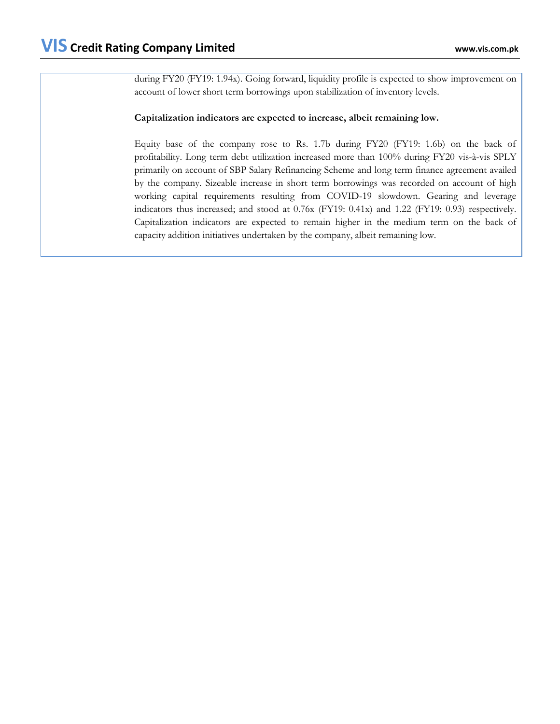during FY20 (FY19: 1.94x). Going forward, liquidity profile is expected to show improvement on account of lower short term borrowings upon stabilization of inventory levels.

# **Capitalization indicators are expected to increase, albeit remaining low.**

Equity base of the company rose to Rs. 1.7b during FY20 (FY19: 1.6b) on the back of profitability. Long term debt utilization increased more than 100% during FY20 vis-à-vis SPLY primarily on account of SBP Salary Refinancing Scheme and long term finance agreement availed by the company. Sizeable increase in short term borrowings was recorded on account of high working capital requirements resulting from COVID-19 slowdown. Gearing and leverage indicators thus increased; and stood at 0.76x (FY19: 0.41x) and 1.22 (FY19: 0.93) respectively. Capitalization indicators are expected to remain higher in the medium term on the back of capacity addition initiatives undertaken by the company, albeit remaining low.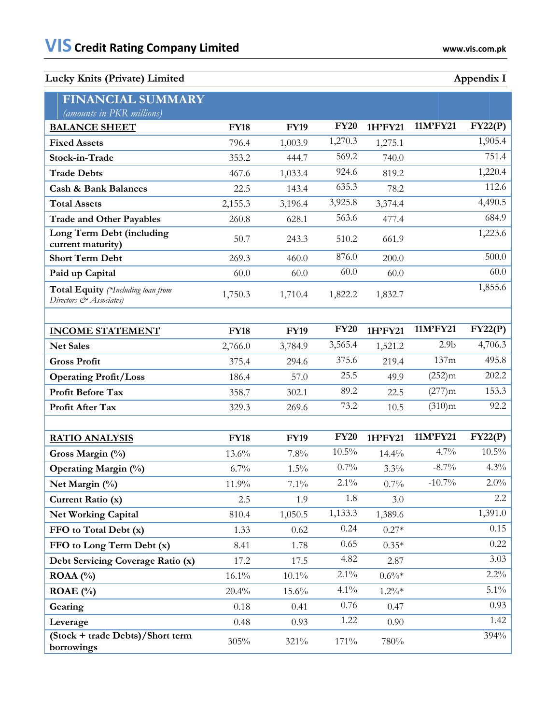| Appendix I |  |
|------------|--|
|            |  |

| <b>FINANCIAL SUMMARY</b><br>(amounts in PKR millions)         |             |             |             |          |                  |          |
|---------------------------------------------------------------|-------------|-------------|-------------|----------|------------------|----------|
| <b>BALANCE SHEET</b>                                          | <b>FY18</b> | <b>FY19</b> | <b>FY20</b> | 1H'FY21  | 11M'FY21         | FY22(P)  |
| <b>Fixed Assets</b>                                           | 796.4       | 1,003.9     | 1,270.3     | 1,275.1  |                  | 1,905.4  |
| Stock-in-Trade                                                | 353.2       | 444.7       | 569.2       | 740.0    |                  | 751.4    |
| <b>Trade Debts</b>                                            | 467.6       | 1,033.4     | 924.6       | 819.2    |                  | 1,220.4  |
| <b>Cash &amp; Bank Balances</b>                               | 22.5        | 143.4       | 635.3       | 78.2     |                  | 112.6    |
| <b>Total Assets</b>                                           | 2,155.3     | 3,196.4     | 3,925.8     | 3,374.4  |                  | 4,490.5  |
| <b>Trade and Other Payables</b>                               | 260.8       | 628.1       | 563.6       | 477.4    |                  | 684.9    |
| Long Term Debt (including<br>current maturity)                | 50.7        | 243.3       | 510.2       | 661.9    |                  | 1,223.6  |
| <b>Short Term Debt</b>                                        | 269.3       | 460.0       | 876.0       | 200.0    |                  | 500.0    |
| Paid up Capital                                               | 60.0        | 60.0        | 60.0        | 60.0     |                  | 60.0     |
| Total Equity (*Including loan from<br>Directors & Associates) | 1,750.3     | 1,710.4     | 1,822.2     | 1,832.7  |                  | 1,855.6  |
|                                                               |             |             |             |          |                  |          |
| <b>INCOME STATEMENT</b>                                       | <b>FY18</b> | <b>FY19</b> | <b>FY20</b> | 1H'FY21  | 11M'FY21         | FY22(P)  |
| <b>Net Sales</b>                                              | 2,766.0     | 3,784.9     | 3,565.4     | 1,521.2  | 2.9 <sub>b</sub> | 4,706.3  |
| <b>Gross Profit</b>                                           | 375.4       | 294.6       | 375.6       | 219.4    | 137m             | 495.8    |
| <b>Operating Profit/Loss</b>                                  | 186.4       | 57.0        | 25.5        | 49.9     | (252)m           | 202.2    |
| Profit Before Tax                                             | 358.7       | 302.1       | 89.2        | 22.5     | (277)m           | 153.3    |
| Profit After Tax                                              | 329.3       | 269.6       | 73.2        | 10.5     | (310)m           | 92.2     |
|                                                               |             |             |             |          |                  |          |
| <b>RATIO ANALYSIS</b>                                         | <b>FY18</b> | <b>FY19</b> | <b>FY20</b> | 1H'FY21  | 11M'FY21         | FY22(P)  |
| Gross Margin (%)                                              | 13.6%       | 7.8%        | $10.5\%$    | 14.4%    | 4.7%             | $10.5\%$ |
| <b>Operating Margin (%)</b>                                   | 6.7%        | $1.5\%$     | 0.7%        | 3.3%     | $-8.7\%$         | 4.3%     |
| Net Margin (%)                                                | 11.9%       | 7.1%        | $2.1\%$     | 0.7%     | $-10.7\%$        | $2.0\%$  |
| Current Ratio (x)                                             | 2.5         | 1.9         | 1.8         | 3.0      |                  | $2.2\,$  |
| <b>Net Working Capital</b>                                    | 810.4       | 1,050.5     | 1,133.3     | 1,389.6  |                  | 1,391.0  |
| FFO to Total Debt (x)                                         | 1.33        | 0.62        | 0.24        | $0.27*$  |                  | 0.15     |
| FFO to Long Term Debt (x)                                     | 8.41        | 1.78        | 0.65        | $0.35*$  |                  | 0.22     |
| Debt Servicing Coverage Ratio (x)                             | 17.2        | 17.5        | 4.82        | 2.87     |                  | 3.03     |
| ROAA $(%)$                                                    | $16.1\%$    | $10.1\%$    | $2.1\%$     | $0.6\%*$ |                  | $2.2\%$  |
| ROAE $(\% )$                                                  | 20.4%       | 15.6%       | $4.1\%$     | $1.2\%*$ |                  | $5.1\%$  |
| Gearing                                                       | 0.18        | 0.41        | 0.76        | 0.47     |                  | 0.93     |
| Leverage                                                      | 0.48        | 0.93        | 1.22        | 0.90     |                  | 1.42     |
| (Stock + trade Debts)/Short term<br>borrowings                | 305%        | 321%        | 171%        | 780%     |                  | 394%     |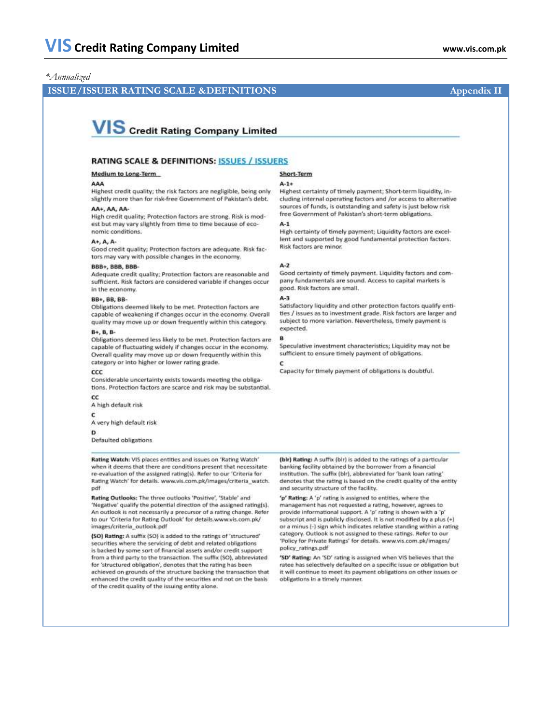## *\*Annualized*

# **ISSUE/ISSUER RATING SCALE &DEFINITIONS** Appendix II

# **VIS** Credit Rating Company Limited

## **RATING SCALE & DEFINITIONS: ISSUES / ISSUERS**

### Medium to Long-Term

#### AAA

Highest credit quality; the risk factors are negligible, being only slightly more than for risk-free Government of Pakistan's debt.

### AA+, AA, AA-

High credit quality; Protection factors are strong. Risk is modest but may vary slightly from time to time because of economic conditions.

#### A+, A, A-

Good credit quality; Protection factors are adequate. Risk factors may vary with possible changes in the economy.

#### **BBB+, BBB, BBB**

Adequate credit quality; Protection factors are reasonable and sufficient. Risk factors are considered variable if changes occur in the economy.

#### BB+, BB, BB-

Obligations deemed likely to be met. Protection factors are capable of weakening if changes occur in the economy. Overall quality may move up or down frequently within this category.

#### B+, B, B-

Obligations deemed less likely to be met. Protection factors are capable of fluctuating widely if changes occur in the economy. Overall quality may move up or down frequently within this category or into higher or lower rating grade.

#### $ccc$

Considerable uncertainty exists towards meeting the obligations. Protection factors are scarce and risk may be substantial.

### cc

A high default risk

## c

A very high default risk

#### D

Defaulted obligations

#### Rating Watch: VIS places entities and issues on 'Rating Watch' when it deems that there are conditions present that necessitate re-evaluation of the assigned rating(s). Refer to our 'Criteria for Rating Watch' for details. www.vis.com.pk/images/criteria\_watch. pdf

Rating Outlooks: The three outlooks 'Positive', 'Stable' and 'Negative' qualify the potential direction of the assigned rating(s). An outlook is not necessarily a precursor of a rating change. Refer to our 'Criteria for Rating Outlook' for details.www.vis.com.pk/ images/criteria\_outlook.pdf

(SO) Rating: A suffix (SO) is added to the ratings of 'structured' securities where the servicing of debt and related obligations is backed by some sort of financial assets and/or credit support from a third party to the transaction. The suffix (SO), abbreviated. for 'structured obligation', denotes that the rating has been achieved on grounds of the structure backing the transaction that enhanced the credit quality of the securities and not on the basis of the credit quality of the issuing entity alone.

#### **Short-Term**

#### $A - 1 +$

Highest certainty of timely payment; Short-term liquidity, including internal operating factors and /or access to alternative sources of funds, is outstanding and safety is just below risk free Government of Pakistan's short-term obligations.

#### $A-1$

High certainty of timely payment; Liquidity factors are excellent and supported by good fundamental protection factors. Risk factors are minor.

#### $A-2$

Good certainty of timely payment. Liquidity factors and company fundamentals are sound. Access to capital markets is good. Risk factors are small.

#### $A-3$

B.

Satisfactory liquidity and other protection factors qualify entities / issues as to investment grade. Risk factors are larger and subject to more variation. Nevertheless, timely payment is expected.

Speculative investment characteristics: Liquidity may not be sufficient to ensure timely payment of obligations.

Capacity for timely payment of obligations is doubtful.

(bir) Rating: A suffix (bir) is added to the ratings of a particular banking facility obtained by the borrower from a financial institution. The suffix (bir), abbreviated for 'bank loan rating' denotes that the rating is based on the credit quality of the entity and security structure of the facility.

'p' Rating: A 'p' rating is assigned to entities, where the management has not requested a rating, however, agrees to provide informational support. A 'p' rating is shown with a 'p' subscript and is publicly disclosed. It is not modified by a plus (+) or a minus (-) sign which indicates relative standing within a rating category. Outlook is not assigned to these ratings. Refer to our 'Policy for Private Ratings' for details. www.vis.com.pk/images/ policy\_ratings.pdf

'SD' Rating: An 'SD' rating is assigned when VIS believes that the ratee has selectively defaulted on a specific issue or obligation but it will continue to meet its payment obligations on other issues or obligations in a timely manner.